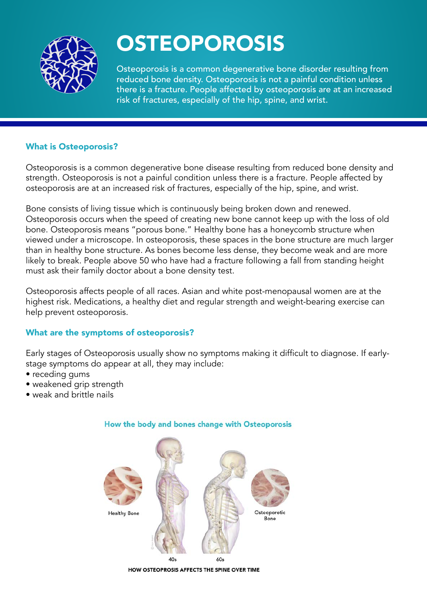

## **OSTEOPOROSIS**

Osteoporosis is a common degenerative bone disorder resulting from reduced bone density. Osteoporosis is not a painful condition unless there is a fracture. People affected by osteoporosis are at an increased risk of fractures, especially of the hip, spine, and wrist.

#### What is Osteoporosis?

Osteoporosis is a common degenerative bone disease resulting from reduced bone density and strength. Osteoporosis is not a painful condition unless there is a fracture. People affected by osteoporosis are at an increased risk of fractures, especially of the hip, spine, and wrist.

Bone consists of living tissue which is continuously being broken down and renewed. Osteoporosis occurs when the speed of creating new bone cannot keep up with the loss of old bone. Osteoporosis means "porous bone." Healthy bone has a honeycomb structure when viewed under a microscope. In osteoporosis, these spaces in the bone structure are much larger than in healthy bone structure. As bones become less dense, they become weak and are more likely to break. People above 50 who have had a fracture following a fall from standing height must ask their family doctor about a bone density test.

Osteoporosis affects people of all races. Asian and white post-menopausal women are at the highest risk. Medications, a healthy diet and regular strength and weight-bearing exercise can help prevent osteoporosis.

#### What are the symptoms of osteoporosis?

Early stages of Osteoporosis usually show no symptoms making it difficult to diagnose. If earlystage symptoms do appear at all, they may include:

- receding gums
- weakened grip strength
- weak and brittle nails



#### How the body and bones change with Osteoporosis

HOW OSTEOPROSIS AFFECTS THE SPINE OVER TIME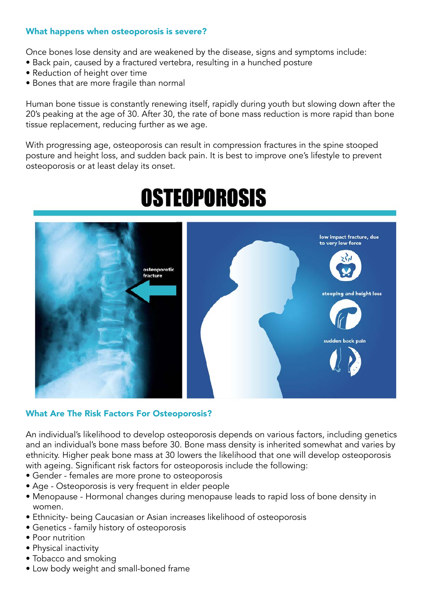#### What happens when osteoporosis is severe?

Once bones lose density and are weakened by the disease, signs and symptoms include:

- Back pain, caused by a fractured vertebra, resulting in a hunched posture
- Reduction of height over time
- Bones that are more fragile than normal

Human bone tissue is constantly renewing itself, rapidly during youth but slowing down after the 20's peaking at the age of 30. After 30, the rate of bone mass reduction is more rapid than bone tissue replacement, reducing further as we age.

With progressing age, osteoporosis can result in compression fractures in the spine stooped posture and height loss, and sudden back pain. It is best to improve one's lifestyle to prevent osteoporosis or at least delay its onset.



# **OSTEOPOROSIS**

#### What Are The Risk Factors For Osteoporosis?

An individual's likelihood to develop osteoporosis depends on various factors, including genetics and an individual's bone mass before 30. Bone mass density is inherited somewhat and varies by ethnicity. Higher peak bone mass at 30 lowers the likelihood that one will develop osteoporosis with ageing. Significant risk factors for osteoporosis include the following:

- Gender females are more prone to osteoporosis
- Age Osteoporosis is very frequent in elder people
- Menopause Hormonal changes during menopause leads to rapid loss of bone density in women.
- Ethnicity- being Caucasian or Asian increases likelihood of osteoporosis
- Genetics family history of osteoporosis
- Poor nutrition
- Physical inactivity
- Tobacco and smoking
- Low body weight and small-boned frame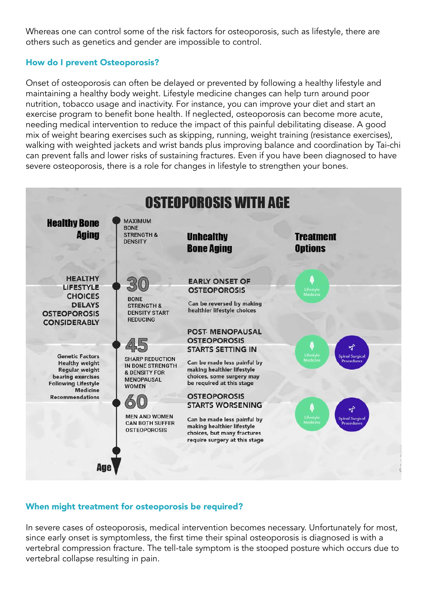Whereas one can control some of the risk factors for osteoporosis, such as lifestyle, there are others such as genetics and gender are impossible to control.

#### How do I prevent Osteoporosis?

Onset of osteoporosis can often be delayed or prevented by following a healthy lifestyle and maintaining a healthy body weight. Lifestyle medicine changes can help turn around poor nutrition, tobacco usage and inactivity. For instance, you can improve your diet and start an exercise program to benefit bone health. If neglected, osteoporosis can become more acute, needing medical intervention to reduce the impact of this painful debilitating disease. A good mix of weight bearing exercises such as skipping, running, weight training (resistance exercises), walking with weighted jackets and wrist bands plus improving balance and coordination by Tai-chi can prevent falls and lower risks of sustaining fractures. Even if you have been diagnosed to have severe osteoporosis, there is a role for changes in lifestyle to strengthen your bones.



#### When might treatment for osteoporosis be required?

In severe cases of osteoporosis, medical intervention becomes necessary. Unfortunately for most, since early onset is symptomless, the first time their spinal osteoporosis is diagnosed is with a vertebral compression fracture. The tell-tale symptom is the stooped posture which occurs due to vertebral collapse resulting in pain.